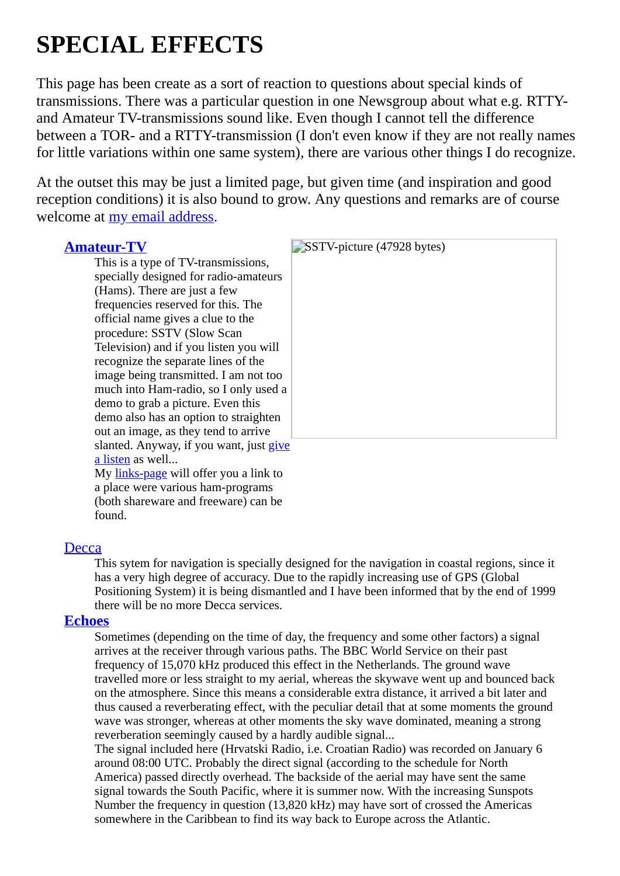# **SPECIAL EFFECTS**

This page has been create as a sort of reaction to questions about special kinds of transmissions. There was a particular question in one Newsgroup about what e.g. RTTYand Amateur TV-transmissions sound like. Even though I cannot tell the difference between a TOR- and a RTTY-transmission (I don't even know if they are not really names for little variations within one same system), there are various other things I do recognize.

At the outset this may be just a limited page, but given time (and inspiration and good reception conditions) it is also bound to grow. Any questions and remarks are of course welcome at my email [address](https://web.archive.org/web/20030408054448/mailto:cisquet@xs4all.nl).

## **[Amateur-TV](https://web.archive.org/web/20030408054448/http://cisquet.future.easyspace.com/effects/sstv.ra)**

This is a type of TV-transmissions, specially designed for radio-amateurs (Hams). There are just a few frequencies reserved for this. The official name gives a clue to the procedure: SSTV (Slow Scan Television) and if you listen you will recognize the separate lines of the image being transmitted. I am not too much into Ham-radio, so I only used a demo to grab a picture. Even this demo also has an option to straighten out an image, as they tend to arrive [slanted. Anyway, if you want, just give](https://web.archive.org/web/20030408054448/http://cisquet.future.easyspace.com/effects/sstv.ra) a listen as well... My [links-page](https://web.archive.org/web/20030408054448/http://www1.tip.nl/~t885062/links.htm) will offer you a link to

| SSTV-picture (47928 bytes) |
|----------------------------|
|                            |
|                            |
|                            |
|                            |
|                            |
|                            |
|                            |
|                            |
|                            |
|                            |
|                            |
|                            |
|                            |
|                            |

a place were various ham-programs (both shareware and freeware) can be found.

# **[Decca](https://web.archive.org/web/20030408054448/http://cisquet.future.easyspace.com/effects/decca.ra)**

This sytem for navigation is specially designed for the navigation in coastal regions, since it has a very high degree of accuracy. Due to the rapidly increasing use of GPS (Global Positioning System) it is being dismantled and I have been informed that by the end of 1999 there will be no more Decca services.

# **[Echoes](https://web.archive.org/web/20030408054448/http://cisquet.future.easyspace.com/effects/echo.ra)**

Sometimes (depending on the time of day, the frequency and some other factors) a signal arrives at the receiver through various paths. The BBC World Service on their past frequency of 15,070 kHz produced this effect in the Netherlands. The ground wave travelled more or less straight to my aerial, whereas the skywave went up and bounced back on the atmosphere. Since this means a considerable extra distance, it arrived a bit later and thus caused a reverberating effect, with the peculiar detail that at some moments the ground wave was stronger, whereas at other moments the sky wave dominated, meaning a strong reverberation seemingly caused by a hardly audible signal...

The signal included here (Hrvatski Radio, i.e. Croatian Radio) was recorded on January 6 around 08:00 UTC. Probably the direct signal (according to the schedule for North America) passed directly overhead. The backside of the aerial may have sent the same signal towards the South Pacific, where it is summer now. With the increasing Sunspots Number the frequency in question (13,820 kHz) may have sort of crossed the Americas somewhere in the Caribbean to find its way back to Europe across the Atlantic.